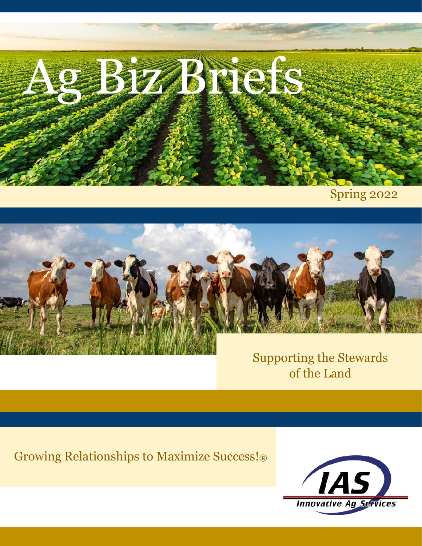

Spring 2022



Supporting the Stewards of the Land

Growing Relationships to Maximize Success!®

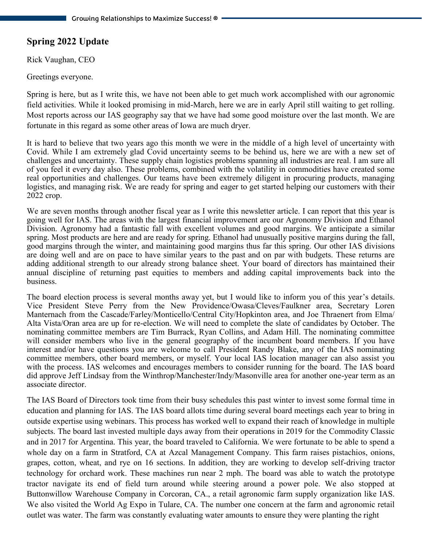# **Spring 2022 Update**

Rick Vaughan, CEO

Greetings everyone.

Spring is here, but as I write this, we have not been able to get much work accomplished with our agronomic field activities. While it looked promising in mid-March, here we are in early April still waiting to get rolling. Most reports across our IAS geography say that we have had some good moisture over the last month. We are fortunate in this regard as some other areas of Iowa are much dryer.

It is hard to believe that two years ago this month we were in the middle of a high level of uncertainty with Covid. While I am extremely glad Covid uncertainty seems to be behind us, here we are with a new set of challenges and uncertainty. These supply chain logistics problems spanning all industries are real. I am sure all of you feel it every day also. These problems, combined with the volatility in commodities have created some real opportunities and challenges. Our teams have been extremely diligent in procuring products, managing logistics, and managing risk. We are ready for spring and eager to get started helping our customers with their 2022 crop.

We are seven months through another fiscal year as I write this newsletter article. I can report that this year is going well for IAS. The areas with the largest financial improvement are our Agronomy Division and Ethanol Division. Agronomy had a fantastic fall with excellent volumes and good margins. We anticipate a similar spring. Most products are here and are ready for spring. Ethanol had unusually positive margins during the fall, good margins through the winter, and maintaining good margins thus far this spring. Our other IAS divisions are doing well and are on pace to have similar years to the past and on par with budgets. These returns are adding additional strength to our already strong balance sheet. Your board of directors has maintained their annual discipline of returning past equities to members and adding capital improvements back into the business.

The board election process is several months away yet, but I would like to inform you of this year's details. Vice President Steve Perry from the New Providence/Owasa/Cleves/Faulkner area, Secretary Loren Manternach from the Cascade/Farley/Monticello/Central City/Hopkinton area, and Joe Thraenert from Elma/ Alta Vista/Oran area are up for re-election. We will need to complete the slate of candidates by October. The nominating committee members are Tim Burrack, Ryan Collins, and Adam Hill. The nominating committee will consider members who live in the general geography of the incumbent board members. If you have interest and/or have questions you are welcome to call President Randy Blake, any of the IAS nominating committee members, other board members, or myself. Your local IAS location manager can also assist you with the process. IAS welcomes and encourages members to consider running for the board. The IAS board did approve Jeff Lindsay from the Winthrop/Manchester/Indy/Masonville area for another one-year term as an associate director.

The IAS Board of Directors took time from their busy schedules this past winter to invest some formal time in education and planning for IAS. The IAS board allots time during several board meetings each year to bring in outside expertise using webinars. This process has worked well to expand their reach of knowledge in multiple subjects. The board last invested multiple days away from their operations in 2019 for the Commodity Classic and in 2017 for Argentina. This year, the board traveled to California. We were fortunate to be able to spend a whole day on a farm in Stratford, CA at Azcal Management Company. This farm raises pistachios, onions, grapes, cotton, wheat, and rye on 16 sections. In addition, they are working to develop self-driving tractor technology for orchard work. These machines run near 2 mph. The board was able to watch the prototype tractor navigate its end of field turn around while steering around a power pole. We also stopped at Buttonwillow Warehouse Company in Corcoran, CA., a retail agronomic farm supply organization like IAS. We also visited the World Ag Expo in Tulare, CA. The number one concern at the farm and agronomic retail outlet was water. The farm was constantly evaluating water amounts to ensure they were planting the right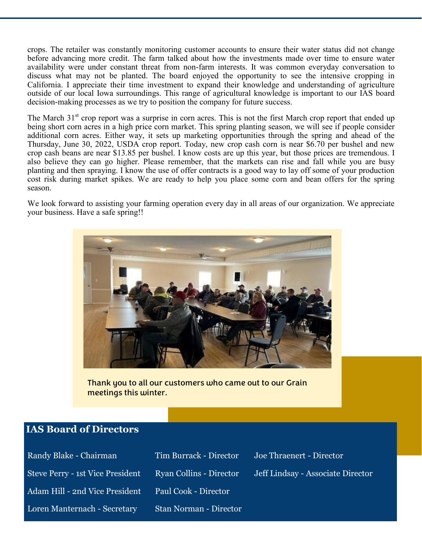crops. The retailer was constantly monitoring customer accounts to ensure their water status did not change before advancing more credit. The farm talked about how the investments made over time to ensure water availability were under constant threat from non-farm interests. It was common everyday conversation to discuss what may not be planted. The board enjoyed the opportunity to see the intensive cropping in California. I appreciate their time investment to expand their knowledge and understanding of agriculture outside of our local Iowa surroundings. This range of agricultural knowledge is important to our IAS board decision-making processes as we try to position the company for future success.

The March 31<sup>st</sup> crop report was a surprise in corn acres. This is not the first March crop report that ended up being short corn acres in a high price corn market. This spring planting season, we will see if people consider additional corn acres. Either way, it sets up marketing opportunities through the spring and ahead of the Thursday, June 30, 2022, USDA crop report. Today, new crop cash corn is near \$6.70 per bushel and new crop cash beans are near \$13.85 per bushel. I know costs are up this year, but those prices are tremendous. I also believe they can go higher. Please remember, that the markets can rise and fall while you are busy planting and then spraying. I know the use of offer contracts is a good way to lay off some of your production cost risk during market spikes. We are ready to help you place some corn and bean offers for the spring season.

We look forward to assisting your farming operation every day in all areas of our organization. We appreciate your business. Have a safe spring!!



Thank you to all our customers who came out to our Grain meetings this winter.

#### **IAS Board of Directors**

| Randy Blake - Chairman           | Tim Burrack - Director  | Joe Thraenert - Director          |
|----------------------------------|-------------------------|-----------------------------------|
| Steve Perry - 1st Vice President | Ryan Collins - Director | Jeff Lindsay - Associate Director |
| Adam Hill - 2nd Vice President   | Paul Cook - Director    |                                   |
| Loren Manternach - Secretary     | Stan Norman - Director  |                                   |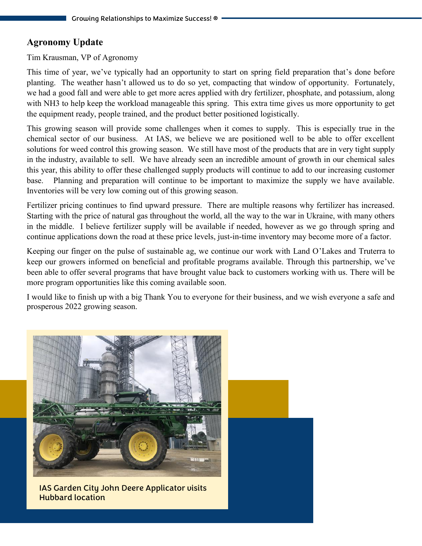### **Agronomy Update**

Tim Krausman, VP of Agronomy

This time of year, we've typically had an opportunity to start on spring field preparation that's done before planting. The weather hasn't allowed us to do so yet, compacting that window of opportunity. Fortunately, we had a good fall and were able to get more acres applied with dry fertilizer, phosphate, and potassium, along with NH3 to help keep the workload manageable this spring. This extra time gives us more opportunity to get the equipment ready, people trained, and the product better positioned logistically.

This growing season will provide some challenges when it comes to supply. This is especially true in the chemical sector of our business. At IAS, we believe we are positioned well to be able to offer excellent solutions for weed control this growing season. We still have most of the products that are in very tight supply in the industry, available to sell. We have already seen an incredible amount of growth in our chemical sales this year, this ability to offer these challenged supply products will continue to add to our increasing customer base. Planning and preparation will continue to be important to maximize the supply we have available. Inventories will be very low coming out of this growing season.

Fertilizer pricing continues to find upward pressure. There are multiple reasons why fertilizer has increased. Starting with the price of natural gas throughout the world, all the way to the war in Ukraine, with many others in the middle. I believe fertilizer supply will be available if needed, however as we go through spring and continue applications down the road at these price levels, just-in-time inventory may become more of a factor.

Keeping our finger on the pulse of sustainable ag, we continue our work with Land O'Lakes and Truterra to keep our growers informed on beneficial and profitable programs available. Through this partnership, we've been able to offer several programs that have brought value back to customers working with us. There will be more program opportunities like this coming available soon.

I would like to finish up with a big Thank You to everyone for their business, and we wish everyone a safe and prosperous 2022 growing season.

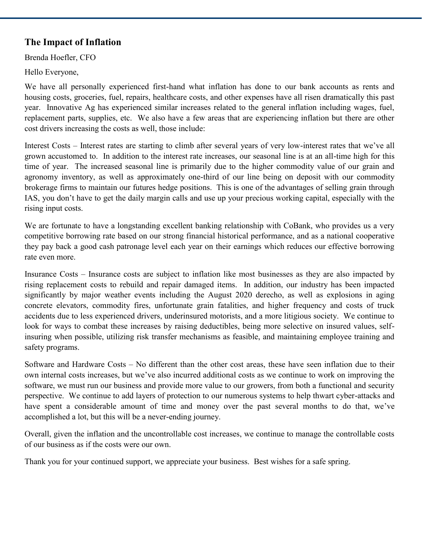## **The Impact of Inflation**

Brenda Hoefler, CFO

Hello Everyone,

We have all personally experienced first-hand what inflation has done to our bank accounts as rents and housing costs, groceries, fuel, repairs, healthcare costs, and other expenses have all risen dramatically this past year. Innovative Ag has experienced similar increases related to the general inflation including wages, fuel, replacement parts, supplies, etc. We also have a few areas that are experiencing inflation but there are other cost drivers increasing the costs as well, those include:

Interest Costs – Interest rates are starting to climb after several years of very low-interest rates that we've all grown accustomed to. In addition to the interest rate increases, our seasonal line is at an all-time high for this time of year. The increased seasonal line is primarily due to the higher commodity value of our grain and agronomy inventory, as well as approximately one-third of our line being on deposit with our commodity brokerage firms to maintain our futures hedge positions. This is one of the advantages of selling grain through IAS, you don't have to get the daily margin calls and use up your precious working capital, especially with the rising input costs.

We are fortunate to have a longstanding excellent banking relationship with CoBank, who provides us a very competitive borrowing rate based on our strong financial historical performance, and as a national cooperative they pay back a good cash patronage level each year on their earnings which reduces our effective borrowing rate even more.

Insurance Costs – Insurance costs are subject to inflation like most businesses as they are also impacted by rising replacement costs to rebuild and repair damaged items. In addition, our industry has been impacted significantly by major weather events including the August 2020 derecho, as well as explosions in aging concrete elevators, commodity fires, unfortunate grain fatalities, and higher frequency and costs of truck accidents due to less experienced drivers, underinsured motorists, and a more litigious society. We continue to look for ways to combat these increases by raising deductibles, being more selective on insured values, selfinsuring when possible, utilizing risk transfer mechanisms as feasible, and maintaining employee training and safety programs.

Software and Hardware Costs – No different than the other cost areas, these have seen inflation due to their own internal costs increases, but we've also incurred additional costs as we continue to work on improving the software, we must run our business and provide more value to our growers, from both a functional and security perspective. We continue to add layers of protection to our numerous systems to help thwart cyber-attacks and have spent a considerable amount of time and money over the past several months to do that, we've accomplished a lot, but this will be a never-ending journey.

Overall, given the inflation and the uncontrollable cost increases, we continue to manage the controllable costs of our business as if the costs were our own.

Thank you for your continued support, we appreciate your business. Best wishes for a safe spring.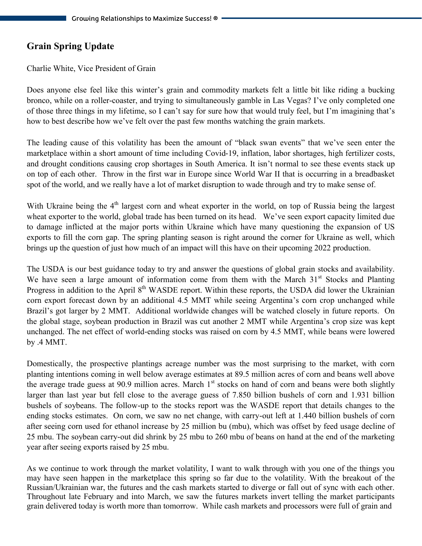# **Grain Spring Update**

Charlie White, Vice President of Grain

Does anyone else feel like this winter's grain and commodity markets felt a little bit like riding a bucking bronco, while on a roller-coaster, and trying to simultaneously gamble in Las Vegas? I've only completed one of those three things in my lifetime, so I can't say for sure how that would truly feel, but I'm imagining that's how to best describe how we've felt over the past few months watching the grain markets.

The leading cause of this volatility has been the amount of "black swan events" that we've seen enter the marketplace within a short amount of time including Covid-19, inflation, labor shortages, high fertilizer costs, and drought conditions causing crop shortages in South America. It isn't normal to see these events stack up on top of each other. Throw in the first war in Europe since World War II that is occurring in a breadbasket spot of the world, and we really have a lot of market disruption to wade through and try to make sense of.

With Ukraine being the 4<sup>th</sup> largest corn and wheat exporter in the world, on top of Russia being the largest wheat exporter to the world, global trade has been turned on its head. We've seen export capacity limited due to damage inflicted at the major ports within Ukraine which have many questioning the expansion of US exports to fill the corn gap. The spring planting season is right around the corner for Ukraine as well, which brings up the question of just how much of an impact will this have on their upcoming 2022 production.

The USDA is our best guidance today to try and answer the questions of global grain stocks and availability. We have seen a large amount of information come from them with the March  $31<sup>st</sup>$  Stocks and Planting Progress in addition to the April 8<sup>th</sup> WASDE report. Within these reports, the USDA did lower the Ukrainian corn export forecast down by an additional 4.5 MMT while seeing Argentina's corn crop unchanged while Brazil's got larger by 2 MMT. Additional worldwide changes will be watched closely in future reports. On the global stage, soybean production in Brazil was cut another 2 MMT while Argentina's crop size was kept unchanged. The net effect of world-ending stocks was raised on corn by 4.5 MMT, while beans were lowered by .4 MMT.

Domestically, the prospective plantings acreage number was the most surprising to the market, with corn planting intentions coming in well below average estimates at 89.5 million acres of corn and beans well above the average trade guess at 90.9 million acres. March  $1<sup>st</sup>$  stocks on hand of corn and beans were both slightly larger than last year but fell close to the average guess of 7.850 billion bushels of corn and 1.931 billion bushels of soybeans. The follow-up to the stocks report was the WASDE report that details changes to the ending stocks estimates. On corn, we saw no net change, with carry-out left at 1.440 billion bushels of corn after seeing corn used for ethanol increase by 25 million bu (mbu), which was offset by feed usage decline of 25 mbu. The soybean carry-out did shrink by 25 mbu to 260 mbu of beans on hand at the end of the marketing year after seeing exports raised by 25 mbu.

As we continue to work through the market volatility, I want to walk through with you one of the things you may have seen happen in the marketplace this spring so far due to the volatility. With the breakout of the Russian/Ukrainian war, the futures and the cash markets started to diverge or fall out of sync with each other. Throughout late February and into March, we saw the futures markets invert telling the market participants grain delivered today is worth more than tomorrow. While cash markets and processors were full of grain and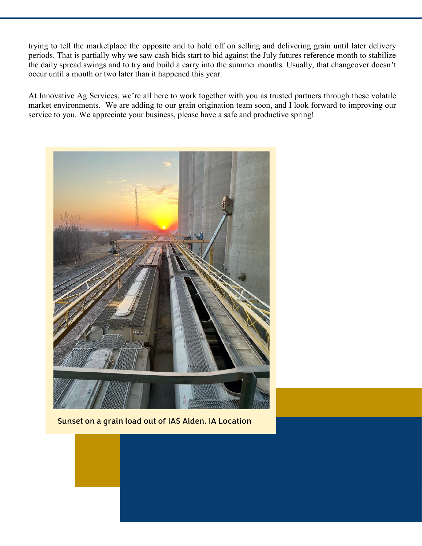trying to tell the marketplace the opposite and to hold off on selling and delivering grain until later delivery periods. That is partially why we saw cash bids start to bid against the July futures reference month to stabilize the daily spread swings and to try and build a carry into the summer months. Usually, that changeover doesn't occur until a month or two later than it happened this year.

At Innovative Ag Services, we're all here to work together with you as trusted partners through these volatile market environments. We are adding to our grain origination team soon, and I look forward to improving our service to you. We appreciate your business, please have a safe and productive spring!



Sunset on a grain load out of IAS Alden, IA Location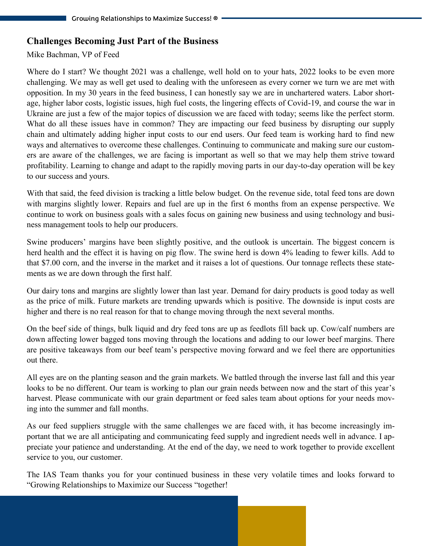#### **Challenges Becoming Just Part of the Business**

#### Mike Bachman, VP of Feed

Where do I start? We thought 2021 was a challenge, well hold on to your hats, 2022 looks to be even more challenging. We may as well get used to dealing with the unforeseen as every corner we turn we are met with opposition. In my 30 years in the feed business, I can honestly say we are in unchartered waters. Labor shortage, higher labor costs, logistic issues, high fuel costs, the lingering effects of Covid-19, and course the war in Ukraine are just a few of the major topics of discussion we are faced with today; seems like the perfect storm. What do all these issues have in common? They are impacting our feed business by disrupting our supply chain and ultimately adding higher input costs to our end users. Our feed team is working hard to find new ways and alternatives to overcome these challenges. Continuing to communicate and making sure our customers are aware of the challenges, we are facing is important as well so that we may help them strive toward profitability. Learning to change and adapt to the rapidly moving parts in our day-to-day operation will be key to our success and yours.

With that said, the feed division is tracking a little below budget. On the revenue side, total feed tons are down with margins slightly lower. Repairs and fuel are up in the first 6 months from an expense perspective. We continue to work on business goals with a sales focus on gaining new business and using technology and business management tools to help our producers.

Swine producers' margins have been slightly positive, and the outlook is uncertain. The biggest concern is herd health and the effect it is having on pig flow. The swine herd is down 4% leading to fewer kills. Add to that \$7.00 corn, and the inverse in the market and it raises a lot of questions. Our tonnage reflects these statements as we are down through the first half.

Our dairy tons and margins are slightly lower than last year. Demand for dairy products is good today as well as the price of milk. Future markets are trending upwards which is positive. The downside is input costs are higher and there is no real reason for that to change moving through the next several months.

On the beef side of things, bulk liquid and dry feed tons are up as feedlots fill back up. Cow/calf numbers are down affecting lower bagged tons moving through the locations and adding to our lower beef margins. There are positive takeaways from our beef team's perspective moving forward and we feel there are opportunities out there.

All eyes are on the planting season and the grain markets. We battled through the inverse last fall and this year looks to be no different. Our team is working to plan our grain needs between now and the start of this year's harvest. Please communicate with our grain department or feed sales team about options for your needs moving into the summer and fall months.

As our feed suppliers struggle with the same challenges we are faced with, it has become increasingly important that we are all anticipating and communicating feed supply and ingredient needs well in advance. I appreciate your patience and understanding. At the end of the day, we need to work together to provide excellent service to you, our customer.

The IAS Team thanks you for your continued business in these very volatile times and looks forward to "Growing Relationships to Maximize our Success "together!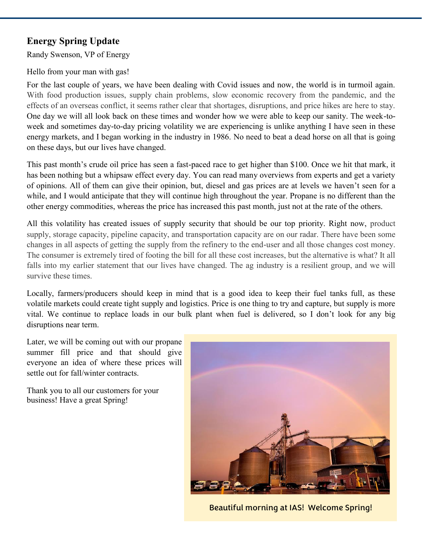# **Energy Spring Update**

Randy Swenson, VP of Energy

Hello from your man with gas!

For the last couple of years, we have been dealing with Covid issues and now, the world is in turmoil again. With food production issues, supply chain problems, slow economic recovery from the pandemic, and the effects of an overseas conflict, it seems rather clear that shortages, disruptions, and price hikes are here to stay. One day we will all look back on these times and wonder how we were able to keep our sanity. The week-toweek and sometimes day-to-day pricing volatility we are experiencing is unlike anything I have seen in these energy markets, and I began working in the industry in 1986. No need to beat a dead horse on all that is going on these days, but our lives have changed.

This past month's crude oil price has seen a fast-paced race to get higher than \$100. Once we hit that mark, it has been nothing but a whipsaw effect every day. You can read many overviews from experts and get a variety of opinions. All of them can give their opinion, but, diesel and gas prices are at levels we haven't seen for a while, and I would anticipate that they will continue high throughout the year. Propane is no different than the other energy commodities, whereas the price has increased this past month, just not at the rate of the others.

All this volatility has created issues of supply security that should be our top priority. Right now, product supply, storage capacity, pipeline capacity, and transportation capacity are on our radar. There have been some changes in all aspects of getting the supply from the refinery to the end-user and all those changes cost money. The consumer is extremely tired of footing the bill for all these cost increases, but the alternative is what? It all falls into my earlier statement that our lives have changed. The ag industry is a resilient group, and we will survive these times.

Locally, farmers/producers should keep in mind that is a good idea to keep their fuel tanks full, as these volatile markets could create tight supply and logistics. Price is one thing to try and capture, but supply is more vital. We continue to replace loads in our bulk plant when fuel is delivered, so I don't look for any big disruptions near term.

Later, we will be coming out with our propane summer fill price and that should give everyone an idea of where these prices will settle out for fall/winter contracts.

Thank you to all our customers for your business! Have a great Spring!



Beautiful morning at IAS! Welcome Spring!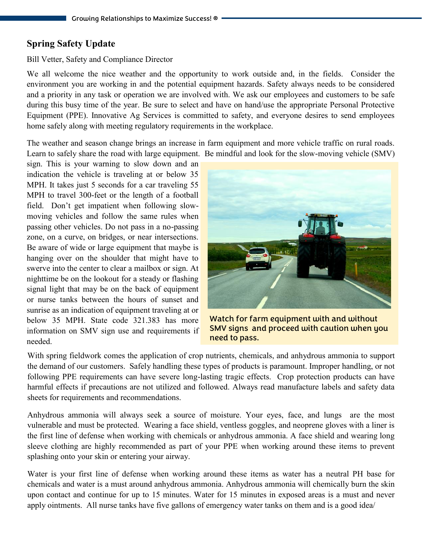#### **Spring Safety Update**

#### Bill Vetter, Safety and Compliance Director

We all welcome the nice weather and the opportunity to work outside and, in the fields. Consider the environment you are working in and the potential equipment hazards. Safety always needs to be considered and a priority in any task or operation we are involved with. We ask our employees and customers to be safe during this busy time of the year. Be sure to select and have on hand/use the appropriate Personal Protective Equipment (PPE). Innovative Ag Services is committed to safety, and everyone desires to send employees home safely along with meeting regulatory requirements in the workplace.

The weather and season change brings an increase in farm equipment and more vehicle traffic on rural roads. Learn to safely share the road with large equipment. Be mindful and look for the slow-moving vehicle (SMV)

sign. This is your warning to slow down and an indication the vehicle is traveling at or below 35 MPH. It takes just 5 seconds for a car traveling 55 MPH to travel 300-feet or the length of a football field. Don't get impatient when following slowmoving vehicles and follow the same rules when passing other vehicles. Do not pass in a no-passing zone, on a curve, on bridges, or near intersections. Be aware of wide or large equipment that maybe is hanging over on the shoulder that might have to swerve into the center to clear a mailbox or sign. At nighttime be on the lookout for a steady or flashing signal light that may be on the back of equipment or nurse tanks between the hours of sunset and sunrise as an indication of equipment traveling at or below 35 MPH. State code 321.383 has more information on SMV sign use and requirements if needed.



Watch for farm equipment with and without SMV signs and proceed with caution when you need to pass.

With spring fieldwork comes the application of crop nutrients, chemicals, and anhydrous ammonia to support the demand of our customers. Safely handling these types of products is paramount. Improper handling, or not following PPE requirements can have severe long-lasting tragic effects. Crop protection products can have harmful effects if precautions are not utilized and followed. Always read manufacture labels and safety data sheets for requirements and recommendations.

Anhydrous ammonia will always seek a source of moisture. Your eyes, face, and lungs are the most vulnerable and must be protected. Wearing a face shield, ventless goggles, and neoprene gloves with a liner is the first line of defense when working with chemicals or anhydrous ammonia. A face shield and wearing long sleeve clothing are highly recommended as part of your PPE when working around these items to prevent splashing onto your skin or entering your airway.

Water is your first line of defense when working around these items as water has a neutral PH base for chemicals and water is a must around anhydrous ammonia. Anhydrous ammonia will chemically burn the skin upon contact and continue for up to 15 minutes. Water for 15 minutes in exposed areas is a must and never apply ointments. All nurse tanks have five gallons of emergency water tanks on them and is a good idea/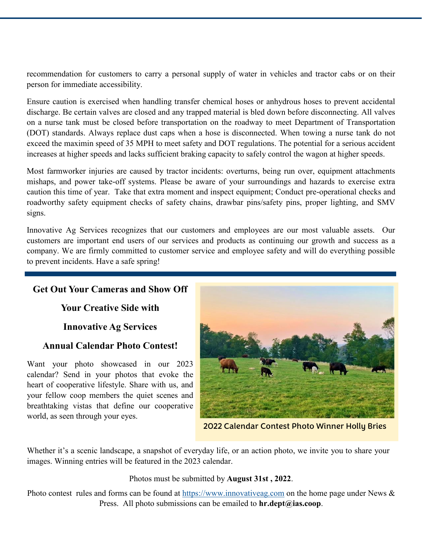recommendation for customers to carry a personal supply of water in vehicles and tractor cabs or on their person for immediate accessibility.

Ensure caution is exercised when handling transfer chemical hoses or anhydrous hoses to prevent accidental discharge. Be certain valves are closed and any trapped material is bled down before disconnecting. All valves on a nurse tank must be closed before transportation on the roadway to meet Department of Transportation (DOT) standards. Always replace dust caps when a hose is disconnected. When towing a nurse tank do not exceed the maximin speed of 35 MPH to meet safety and DOT regulations. The potential for a serious accident increases at higher speeds and lacks sufficient braking capacity to safely control the wagon at higher speeds.

Most farmworker injuries are caused by tractor incidents: overturns, being run over, equipment attachments mishaps, and power take-off systems. Please be aware of your surroundings and hazards to exercise extra caution this time of year. Take that extra moment and inspect equipment; Conduct pre-operational checks and roadworthy safety equipment checks of safety chains, drawbar pins/safety pins, proper lighting, and SMV signs.

Innovative Ag Services recognizes that our customers and employees are our most valuable assets. Our customers are important end users of our services and products as continuing our growth and success as a company. We are firmly committed to customer service and employee safety and will do everything possible to prevent incidents. Have a safe spring!

# **Get Out Your Cameras and Show Off**

**Your Creative Side with** 

**Innovative Ag Services** 

## **Annual Calendar Photo Contest!**

Want your photo showcased in our 2023 calendar? Send in your photos that evoke the heart of cooperative lifestyle. Share with us, and your fellow coop members the quiet scenes and breathtaking vistas that define our cooperative world, as seen through your eyes.



2022 Calendar Contest Photo Winner Holly Bries

Whether it's a scenic landscape, a snapshot of everyday life, or an action photo, we invite you to share your images. Winning entries will be featured in the 2023 calendar.

Photos must be submitted by **August 31st , 2022**.

Photo contest rules and forms can be found at [https://www.innovativeag.com](innovativeag.com) on the home page under News & Press. All photo submissions can be emailed to **hr.dept@ias.coop**.